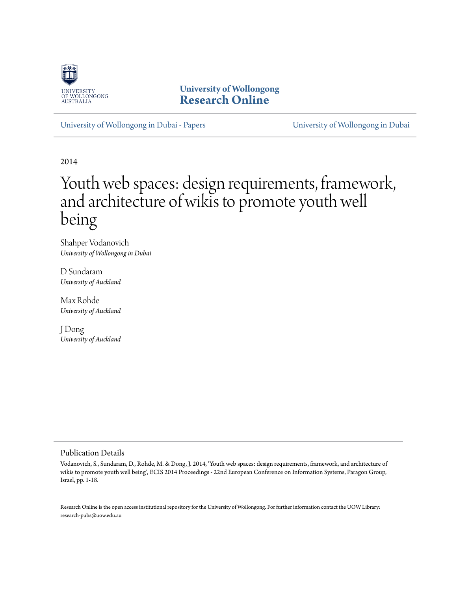

**University of Wollongong [Research Online](http://ro.uow.edu.au)**

[University of Wollongong in Dubai - Papers](http://ro.uow.edu.au/dubaipapers) [University of Wollongong in Dubai](http://ro.uow.edu.au/dubai)

2014

# Youth web spaces: design requirements, framework, and architecture of wikis to promote youth well being

Shahper Vodanovich *University of Wollongong in Dubai*

D Sundaram *University of Auckland*

Max Rohde *University of Auckland*

J Dong *University of Auckland*

#### Publication Details

Vodanovich, S., Sundaram, D., Rohde, M. & Dong, J. 2014, 'Youth web spaces: design requirements, framework, and architecture of wikis to promote youth well being', ECIS 2014 Proceedings - 22nd European Conference on Information Systems, Paragon Group, Israel, pp. 1-18.

Research Online is the open access institutional repository for the University of Wollongong. For further information contact the UOW Library: research-pubs@uow.edu.au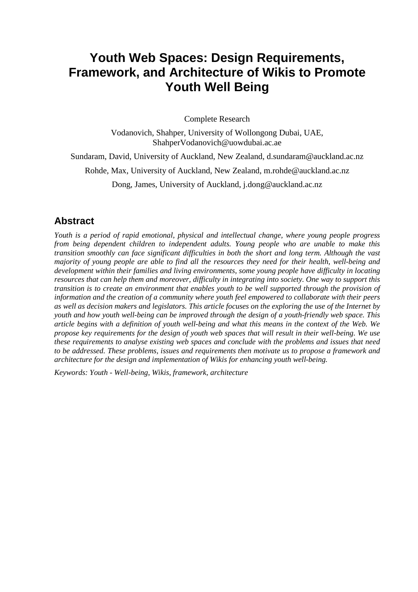## **Youth Web Spaces: Design Requirements, Framework, and Architecture of Wikis to Promote Youth Well Being**

Complete Research

Vodanovich, Shahper, University of Wollongong Dubai, UAE, ShahperVodanovich@uowdubai.ac.ae

Sundaram, David, University of Auckland, New Zealand, d.sundaram@auckland.ac.nz

Rohde, Max, University of Auckland, New Zealand, m.rohde@auckland.ac.nz

Dong, James, University of Auckland, j.dong@auckland.ac.nz

#### **Abstract**

*Youth is a period of rapid emotional, physical and intellectual change, where young people progress from being dependent children to independent adults. Young people who are unable to make this transition smoothly can face significant difficulties in both the short and long term. Although the vast majority of young people are able to find all the resources they need for their health, well-being and development within their families and living environments, some young people have difficulty in locating resources that can help them and moreover, difficulty in integrating into society. One way to support this transition is to create an environment that enables youth to be well supported through the provision of information and the creation of a community where youth feel empowered to collaborate with their peers as well as decision makers and legislators. This article focuses on the exploring the use of the Internet by youth and how youth well-being can be improved through the design of a youth-friendly web space. This article begins with a definition of youth well-being and what this means in the context of the Web. We propose key requirements for the design of youth web spaces that will result in their well-being. We use these requirements to analyse existing web spaces and conclude with the problems and issues that need to be addressed. These problems, issues and requirements then motivate us to propose a framework and architecture for the design and implementation of Wikis for enhancing youth well-being.*

*Keywords: Youth - Well-being, Wikis, framework, architecture*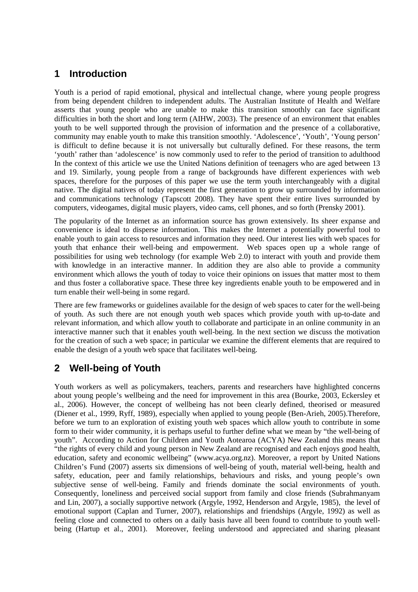## **1 Introduction**

Youth is a period of rapid emotional, physical and intellectual change, where young people progress from being dependent children to independent adults. The Australian Institute of Health and Welfare asserts that young people who are unable to make this transition smoothly can face significant difficulties in both the short and long term [\(AIHW, 2003\)](#page-15-0). The presence of an environment that enables youth to be well supported through the provision of information and the presence of a collaborative, community may enable youth to make this transition smoothly. 'Adolescence', 'Youth', 'Young person' is difficult to define because it is not universally but culturally defined. For these reasons, the term 'youth' rather than 'adolescence' is now commonly used to refer to the period of transition to adulthood In the context of this article we use the United Nations definition of teenagers who are aged between 13 and 19. Similarly, young people from a range of backgrounds have different experiences with web spaces, therefore for the purposes of this paper we use the term youth interchangeably with a digital native. The digital natives of today represent the first generation to grow up surrounded by information and communications technology (Tapscott 2008). They have spent their entire lives surrounded by computers, videogames, digital music players, video cams, cell phones, and so forth (Prensky 2001).

The popularity of the Internet as an information source has grown extensively. Its sheer expanse and convenience is ideal to disperse information. This makes the Internet a potentially powerful tool to enable youth to gain access to resources and information they need. Our interest lies with web spaces for youth that enhance their well-being and empowerment. Web spaces open up a whole range of possibilities for using web technology (for example Web 2.0) to interact with youth and provide them with knowledge in an interactive manner. In addition they are also able to provide a community environment which allows the youth of today to voice their opinions on issues that matter most to them and thus foster a collaborative space. These three key ingredients enable youth to be empowered and in turn enable their well-being in some regard.

There are few frameworks or guidelines available for the design of web spaces to cater for the well-being of youth. As such there are not enough youth web spaces which provide youth with up-to-date and relevant information, and which allow youth to collaborate and participate in an online community in an interactive manner such that it enables youth well-being. In the next section we discuss the motivation for the creation of such a web space; in particular we examine the different elements that are required to enable the design of a youth web space that facilitates well-being.

## **2 Well-being of Youth**

Youth workers as well as policymakers, teachers, parents and researchers have highlighted concerns about young people's wellbeing and the need for improvement in this area [\(Bourke, 2003,](#page-15-1) [Eckersley et](#page-15-2)  [al., 2006\)](#page-15-2). However, the concept of wellbeing has not been clearly defined, theorised or measured [\(Diener et al., 1999,](#page-15-3) [Ryff, 1989\)](#page-17-0), especially when applied to young people [\(Ben-Arieh, 2005\)](#page-15-4).Therefore, before we turn to an exploration of existing youth web spaces which allow youth to contribute in some form to their wider community, it is perhaps useful to further define what we mean by "the well-being of youth". According to Action for Children and Youth Aotearoa (ACYA) New Zealand this means that "the rights of every child and young person in New Zealand are recognised and each enjoys good health, education, safety and economic wellbeing" [\(www.acya.org.nz\)](http://www.acya.org.nz/). Moreover, a report by United Nations Children's Fund [\(2007\)](#page-18-0) asserts six dimensions of well-being of youth, material well-being, health and safety, education, peer and family relationships, behaviours and risks, and young people's own subjective sense of well-being. Family and friends dominate the social environments of youth. Consequently, loneliness and perceived social support from family and close friends [\(Subrahmanyam](#page-17-1)  [and Lin, 2007\)](#page-17-1), a socially supportive network [\(Argyle, 1992,](#page-15-5) [Henderson and Argyle, 1985\)](#page-16-0), the level of emotional support [\(Caplan and Turner, 2007\)](#page-15-6), relationships and friendships [\(Argyle, 1992\)](#page-15-5) as well as feeling close and connected to others on a daily basis have all been found to contribute to youth wellbeing [\(Hartup et al., 2001\)](#page-16-1). Moreover, feeling understood and appreciated and sharing pleasant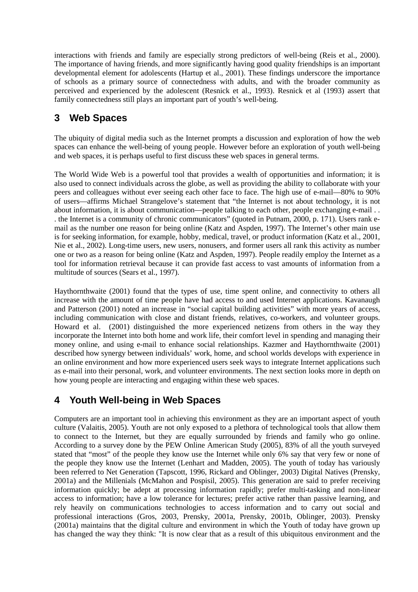interactions with friends and family are especially strong predictors of well-being [\(Reis et al., 2000\)](#page-17-2). The importance of having friends, and more significantly having good quality friendships is an important developmental element for adolescents [\(Hartup et al., 2001\)](#page-16-1). These findings underscore the importance of schools as a primary source of connectedness with adults, and with the broader community as perceived and experienced by the adolescent [\(Resnick et al., 1993\)](#page-17-3). Resnick et al [\(1993\)](#page-17-3) assert that family connectedness still plays an important part of youth's well-being.

## **3 Web Spaces**

The ubiquity of digital media such as the Internet prompts a discussion and exploration of how the web spaces can enhance the well-being of young people. However before an exploration of youth well-being and web spaces, it is perhaps useful to first discuss these web spaces in general terms.

The World Wide Web is a powerful tool that provides a wealth of opportunities and information; it is also used to connect individuals across the globe, as well as providing the ability to collaborate with your peers and colleagues without ever seeing each other face to face. The high use of e-mail—80% to 90% of users—affirms Michael Strangelove's statement that "the Internet is not about technology, it is not about information, it is about communication—people talking to each other, people exchanging e-mail . . . the Internet is a community of chronic communicators" (quoted in Putnam, 2000, p. 171). Users rank email as the number one reason for being online [\(Katz and Aspden, 1997\)](#page-16-2). The Internet's other main use is for seeking information, for example, hobby, medical, travel, or product information [\(Katz et al., 2001,](#page-16-3) [Nie et al., 2002\)](#page-17-4). Long-time users, new users, nonusers, and former users all rank this activity as number one or two as a reason for being online [\(Katz and Aspden, 1997\)](#page-16-2). People readily employ the Internet as a tool for information retrieval because it can provide fast access to vast amounts of information from a multitude of sources [\(Sears et al., 1997\)](#page-17-5).

Haythornthwaite [\(2001\)](#page-16-4) found that the types of use, time spent online, and connectivity to others all increase with the amount of time people have had access to and used Internet applications. Kavanaugh and Patterson [\(2001\)](#page-16-5) noted an increase in "social capital building activities" with more years of access, including communication with close and distant friends, relatives, co-workers, and volunteer groups. Howard et al. [\(2001\)](#page-16-6) distinguished the more experienced netizens from others in the way they incorporate the Internet into both home and work life, their comfort level in spending and managing their money online, and using e-mail to enhance social relationships. Kazmer and Haythornthwaite [\(2001\)](#page-16-7) described how synergy between individuals' work, home, and school worlds develops with experience in an online environment and how more experienced users seek ways to integrate Internet applications such as e-mail into their personal, work, and volunteer environments. The next section looks more in depth on how young people are interacting and engaging within these web spaces.

## **4 Youth Well-being in Web Spaces**

Computers are an important tool in achieving this environment as they are an important aspect of youth culture [\(Valaitis, 2005\)](#page-18-1). Youth are not only exposed to a plethora of technological tools that allow them to connect to the Internet, but they are equally surrounded by friends and family who go online. According to a survey done by the PEW Online American Study [\(2005\)](#page-16-8), 83% of all the youth surveyed stated that "most" of the people they know use the Internet while only 6% say that very few or none of the people they know use the Internet [\(Lenhart and Madden, 2005\)](#page-16-8). The youth of today has variously been referred to Net Generation [\(Tapscott, 1996,](#page-18-2) [Rickard and Oblinger, 2003\)](#page-17-6) Digital Natives [\(Prensky,](#page-17-7)  [2001a\)](#page-17-7) and the Millenials [\(McMahon and Pospisil, 2005\)](#page-17-8). This generation are said to prefer receiving information quickly; be adept at processing information rapidly; prefer multi-tasking and non-linear access to information; have a low tolerance for lectures; prefer active rather than passive learning, and rely heavily on communications technologies to access information and to carry out social and professional interactions [\(Gros, 2003,](#page-15-7) [Prensky, 2001a,](#page-17-7) [Prensky, 2001b,](#page-17-9) [Oblinger, 2003\)](#page-17-10). Prensky [\(2001a\)](#page-17-7) maintains that the digital culture and environment in which the Youth of today have grown up has changed the way they think: "It is now clear that as a result of this ubiquitous environment and the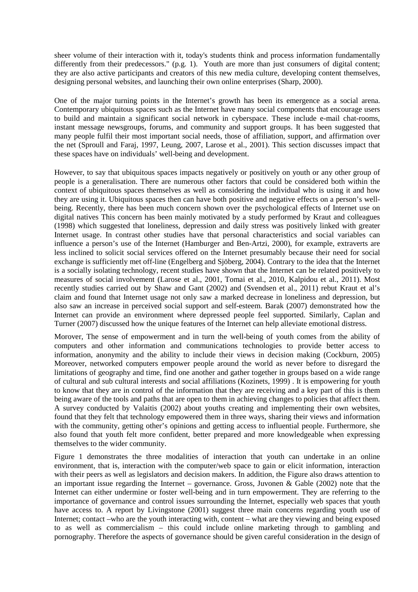sheer volume of their interaction with it, today's students think and process information fundamentally differently from their predecessors." [\(p.g. 1\)](#page-17-7). Youth are more than just consumers of digital content; they are also active participants and creators of this new media culture, developing content themselves, designing personal websites, and launching their own online enterprises [\(Sharp, 2000\)](#page-17-11).

One of the major turning points in the Internet's growth has been its emergence as a social arena. Contemporary ubiquitous spaces such as the Internet have many social components that encourage users to build and maintain a significant social network in cyberspace. These include e-mail chat-rooms, instant message newsgroups, forums, and community and support groups. It has been suggested that many people fulfil their most important social needs, those of affiliation, support, and affirmation over the net [\(Sproull and Faraj, 1997,](#page-17-12) [Leung, 2007,](#page-16-9) [Larose et al., 2001\)](#page-16-10). This section discusses impact that these spaces have on individuals' well-being and development.

However, to say that ubiquitous spaces impacts negatively or positively on youth or any other group of people is a generalisation. There are numerous other factors that could be considered both within the context of ubiquitous spaces themselves as well as considering the individual who is using it and how they are using it. Ubiquitous spaces then can have both positive and negative effects on a person's wellbeing. Recently, there has been much concern shown over the psychological effects of Internet use on digital natives This concern has been mainly motivated by a study performed by Kraut and colleagues [\(1998\)](#page-16-11) which suggested that loneliness, depression and daily stress was positively linked with greater Internet usage. In contrast other studies have that personal characteristics and social variables can influence a person's use of the Internet [\(Hamburger and Ben-Artzi, 2000\)](#page-16-12), for example, extraverts are less inclined to solicit social services offered on the Internet presumably because their need for social exchange is sufficiently met off-line [\(Engelberg and Sjöberg, 2004\)](#page-15-8). Contrary to the idea that the Internet is a socially isolating technology, recent studies have shown that the Internet can be related positively to measures of social involvement [\(Larose et al., 2001,](#page-16-10) [Tomai et al., 2010,](#page-18-3) [Kalpidou et al., 2011\)](#page-16-13). Most recently studies carried out by Shaw and Gant [\(2002\)](#page-17-13) and [\(Svendsen et al., 2011\)](#page-18-4) rebut Kraut et al's claim and found that Internet usage not only saw a marked decrease in loneliness and depression, but also saw an increase in perceived social support and self-esteem. Barak [\(2007\)](#page-15-9) demonstrated how the Internet can provide an environment where depressed people feel supported. Similarly, Caplan and Turner [\(2007\)](#page-15-6) discussed how the unique features of the Internet can help alleviate emotional distress.

Morover, The sense of empowerment and in turn the well-being of youth comes from the ability of computers and other information and communications technologies to provide better access to information, anonymity and the ability to include their views in decision making [\(Cockburn, 2005\)](#page-15-10) Moreover, networked computers empower people around the world as never before to disregard the limitations of geography and time, find one another and gather together in groups based on a wide range of cultural and sub cultural interests and social affiliations [\(Kozinets, 1999\)](#page-16-14) . It is empowering for youth to know that they are in control of the information that they are receiving and a key part of this is them being aware of the tools and paths that are open to them in achieving changes to policies that affect them. A survey conducted by Valaitis [\(2002\)](#page-18-5) about youths creating and implementing their own websites, found that they felt that technology empowered them in three ways, sharing their views and information with the community, getting other's opinions and getting access to influential people. Furthermore, she also found that youth felt more confident, better prepared and more knowledgeable when expressing themselves to the wider community.

Figure 1 demonstrates the three modalities of interaction that youth can undertake in an online environment, that is, interaction with the computer/web space to gain or elicit information, interaction with their peers as well as legislators and decision makers. In addition, the Figure also draws attention to an important issue regarding the Internet – governance. Gross, Juvonen & Gable [\(2002\)](#page-15-11) note that the Internet can either undermine or foster well-being and in turn empowerment. They are referring to the importance of governance and control issues surrounding the Internet, especially web spaces that youth have access to. A report by Livingstone [\(2001\)](#page-16-15) suggest three main concerns regarding youth use of Internet; contact –who are the youth interacting with, content – what are they viewing and being exposed to as well as commercialism – this could include online marketing through to gambling and pornography. Therefore the aspects of governance should be given careful consideration in the design of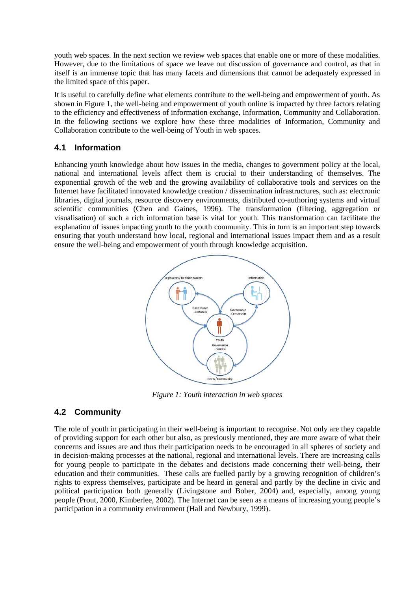youth web spaces. In the next section we review web spaces that enable one or more of these modalities. However, due to the limitations of space we leave out discussion of governance and control, as that in itself is an immense topic that has many facets and dimensions that cannot be adequately expressed in the limited space of this paper.

It is useful to carefully define what elements contribute to the well-being and empowerment of youth. As shown in Figure 1, the well-being and empowerment of youth online is impacted by three factors relating to the efficiency and effectiveness of information exchange, Information, Community and Collaboration. In the following sections we explore how these three modalities of Information, Community and Collaboration contribute to the well-being of Youth in web spaces.

#### **4.1 Information**

Enhancing youth knowledge about how issues in the media, changes to government policy at the local, national and international levels affect them is crucial to their understanding of themselves. The exponential growth of the web and the growing availability of collaborative tools and services on the Internet have facilitated innovated knowledge creation / dissemination infrastructures, such as: electronic libraries, digital journals, resource discovery environments, distributed co-authoring systems and virtual scientific communities [\(Chen and Gaines, 1996\)](#page-15-12). The transformation (filtering, aggregation or visualisation) of such a rich information base is vital for youth. This transformation can facilitate the explanation of issues impacting youth to the youth community. This in turn is an important step towards ensuring that youth understand how local, regional and international issues impact them and as a result ensure the well-being and empowerment of youth through knowledge acquisition.



*Figure 1: Youth interaction in web spaces*

#### **4.2 Community**

The role of youth in participating in their well-being is important to recognise. Not only are they capable of providing support for each other but also, as previously mentioned, they are more aware of what their concerns and issues are and thus their participation needs to be encouraged in all spheres of society and in decision-making processes at the national, regional and international levels. There are increasing calls for young people to participate in the debates and decisions made concerning their well-being, their education and their communities. These calls are fuelled partly by a growing recognition of children's rights to express themselves, participate and be heard in general and partly by the decline in civic and political participation both generally [\(Livingstone and Bober, 2004\)](#page-17-14) and, especially, among young people [\(Prout, 2000,](#page-17-15) [Kimberlee, 2002\)](#page-16-16). The Internet can be seen as a means of increasing young people's participation in a community environment [\(Hall and Newbury, 1999\)](#page-16-17).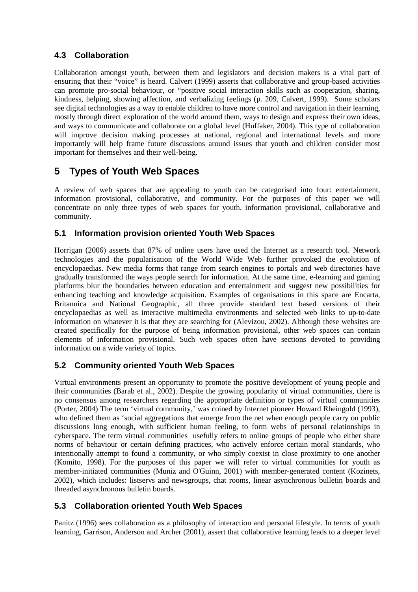#### **4.3 Collaboration**

Collaboration amongst youth, between them and legislators and decision makers is a vital part of ensuring that their "voice" is heard. Calvert [\(1999\)](#page-15-13) asserts that collaborative and group-based activities can promote pro-social behaviour, or "positive social interaction skills such as cooperation, sharing, kindness, helping, showing affection, and verbalizing feelings [\(p. 209, Calvert, 1999\)](#page-15-13). Some scholars see digital technologies as a way to enable children to have more control and navigation in their learning, mostly through direct exploration of the world around them, ways to design and express their own ideas, and ways to communicate and collaborate on a global level [\(Huffaker, 2004\)](#page-16-18). This type of collaboration will improve decision making processes at national, regional and international levels and more importantly will help frame future discussions around issues that youth and children consider most important for themselves and their well-being.

## **5 Types of Youth Web Spaces**

A review of web spaces that are appealing to youth can be categorised into four: entertainment, information provisional, collaborative, and community. For the purposes of this paper we will concentrate on only three types of web spaces for youth, information provisional, collaborative and community.

#### **5.1 Information provision oriented Youth Web Spaces**

Horrigan [\(2006\)](#page-16-19) asserts that 87% of online users have used the Internet as a research tool. Network technologies and the popularisation of the World Wide Web further provoked the evolution of encyclopaedias. New media forms that range from search engines to portals and web directories have gradually transformed the ways people search for information. At the same time, e-learning and gaming platforms blur the boundaries between education and entertainment and suggest new possibilities for enhancing teaching and knowledge acquisition. Examples of organisations in this space are Encarta, Britannica and National Geographic, all three provide standard text based versions of their encyclopaedias as well as interactive multimedia environments and selected web links to up-to-date information on whatever it is that they are searching for [\(Alevizou, 2002\)](#page-15-14). Although these websites are created specifically for the purpose of being information provisional, other web spaces can contain elements of information provisional. Such web spaces often have sections devoted to providing information on a wide variety of topics.

### **5.2 Community oriented Youth Web Spaces**

Virtual environments present an opportunity to promote the positive development of young people and their communities [\(Barab et al., 2002\)](#page-15-15). Despite the growing popularity of virtual communities, there is no consensus among researchers regarding the appropriate definition or types of virtual communities [\(Porter, 2004\)](#page-17-16) The term 'virtual community,' was coined by Internet pioneer Howard Rheingold [\(1993\)](#page-17-17), who defined them as 'social aggregations that emerge from the net when enough people carry on public discussions long enough, with sufficient human feeling, to form webs of personal relationships in cyberspace. The term virtual communities usefully refers to online groups of people who either share norms of behaviour or certain defining practices, who actively enforce certain moral standards, who intentionally attempt to found a community, or who simply coexist in close proximity to one another [\(Komito, 1998\)](#page-16-20). For the purposes of this paper we will refer to virtual communities for youth as member-initiated communities [\(Muniz and O'Guinn, 2001\)](#page-17-18) with member-generated content [\(Kozinets,](#page-16-21)  [2002\)](#page-16-21), which includes: listservs and newsgroups, chat rooms, linear asynchronous bulletin boards and threaded asynchronous bulletin boards.

#### **5.3 Collaboration oriented Youth Web Spaces**

Panitz [\(1996\)](#page-17-19) sees collaboration as a philosophy of interaction and personal lifestyle. In terms of youth learning, Garrison, Anderson and Archer [\(2001\)](#page-15-16), assert that collaborative learning leads to a deeper level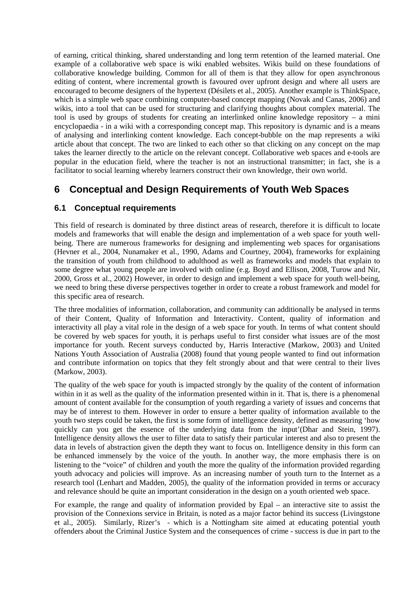of earning, critical thinking, shared understanding and long term retention of the learned material. One example of a collaborative web space is wiki enabled websites. Wikis build on these foundations of collaborative knowledge building. Common for all of them is that they allow for open asynchronous editing of content, where incremental growth is favoured over upfront design and where all users are encouraged to become designers of the hypertext [\(Désilets et al., 2005\)](#page-15-17). Another example is ThinkSpace, which is a simple web space combining computer-based concept mapping [\(Novak and Canas, 2006\)](#page-17-20) and wikis, into a tool that can be used for structuring and clarifying thoughts about complex material. The tool is used by groups of students for creating an interlinked online knowledge repository – a mini encyclopaedia - in a wiki with a corresponding concept map. This repository is dynamic and is a means of analysing and interlinking content knowledge. Each concept-bubble on the map represents a wiki article about that concept. The two are linked to each other so that clicking on any concept on the map takes the learner directly to the article on the relevant concept. Collaborative web spaces and e-tools are popular in the education field, where the teacher is not an instructional transmitter; in fact, she is a facilitator to social learning whereby learners construct their own knowledge, their own world.

## **6 Conceptual and Design Requirements of Youth Web Spaces**

#### **6.1 Conceptual requirements**

This field of research is dominated by three distinct areas of research, therefore it is difficult to locate models and frameworks that will enable the design and implementation of a web space for youth wellbeing. There are numerous frameworks for designing and implementing web spaces for organisations [\(Hevner et al., 2004,](#page-16-22) [Nunamaker et al., 1990,](#page-17-21) [Adams and Courtney, 2004\)](#page-15-18), frameworks for explaining the transition of youth from childhood to adulthood as well as frameworks and models that explain to some degree what young people are involved with online (e.g. [Boyd and Ellison, 2008,](#page-15-19) [Turow and Nir,](#page-18-6)  [2000,](#page-18-6) [Gross et al., 2002\)](#page-15-11) However, in order to design and implement a web space for youth well-being, we need to bring these diverse perspectives together in order to create a robust framework and model for this specific area of research.

The three modalities of information, collaboration, and community can additionally be analysed in terms of their Content, Quality of Information and Interactivity. Content, quality of information and interactivity all play a vital role in the design of a web space for youth. In terms of what content should be covered by web spaces for youth, it is perhaps useful to first consider what issues are of the most importance for youth. Recent surveys conducted by, Harris Interactive [\(Markow, 2003\)](#page-17-22) and United Nations Youth Association of Australia [\(2008\)](#page-18-7) found that young people wanted to find out information and contribute information on topics that they felt strongly about and that were central to their lives [\(Markow, 2003\)](#page-17-22).

The quality of the web space for youth is impacted strongly by the quality of the content of information within in it as well as the quality of the information presented within in it. That is, there is a phenomenal amount of content available for the consumption of youth regarding a variety of issues and concerns that may be of interest to them. However in order to ensure a better quality of information available to the youth two steps could be taken, the first is some form of intelligence density, defined as measuring 'how quickly can you get the essence of the underlying data from the input'[\(Dhar and Stein, 1997\)](#page-15-20). Intelligence density allows the user to filter data to satisfy their particular interest and also to present the data in levels of abstraction given the depth they want to focus on. Intelligence density in this form can be enhanced immensely by the voice of the youth. In another way, the more emphasis there is on listening to the "voice" of children and youth the more the quality of the information provided regarding youth advocacy and policies will improve. As an increasing number of youth turn to the Internet as a research tool [\(Lenhart and Madden, 2005\)](#page-16-8), the quality of the information provided in terms or accuracy and relevance should be quite an important consideration in the design on a youth oriented web space.

For example, the range and quality of information provided by Epal – an interactive site to assist the provision of the Connexions service in Britain, is noted as a major factor behind its success [\(Livingstone](#page-17-23)  [et al., 2005\)](#page-17-23). Similarly, Rizer's - which is a Nottingham site aimed at educating potential youth offenders about the Criminal Justice System and the consequences of crime - success is due in part to the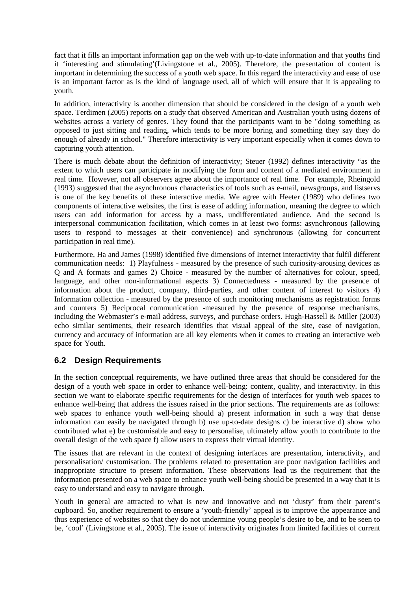fact that it fills an important information gap on the web with up-to-date information and that youths find it 'interesting and stimulating'[\(Livingstone et al., 2005\)](#page-17-23). Therefore, the presentation of content is important in determining the success of a youth web space. In this regard the interactivity and ease of use is an important factor as is the kind of language used, all of which will ensure that it is appealing to youth.

In addition, interactivity is another dimension that should be considered in the design of a youth web space. Terdimen [\(2005\)](#page-18-8) reports on a study that observed American and Australian youth using dozens of websites across a variety of genres. They found that the participants want to be "doing something as opposed to just sitting and reading, which tends to be more boring and something they say they do enough of already in school." Therefore interactivity is very important especially when it comes down to capturing youth attention.

There is much debate about the definition of interactivity; Steuer [\(1992\)](#page-17-24) defines interactivity "as the extent to which users can participate in modifying the form and content of a mediated environment in real time. However, not all observers agree about the importance of real time. For example, Rheingold [\(1993\)](#page-17-17) suggested that the asynchronous characteristics of tools such as e-mail, newsgroups, and listservs is one of the key benefits of these interactive media. We agree with Heeter [\(1989\)](#page-16-23) who defines two components of interactive websites, the first is ease of adding information, meaning the degree to which users can add information for access by a mass, undifferentiated audience. And the second is interpersonal communication facilitation, which comes in at least two forms: asynchronous (allowing users to respond to messages at their convenience) and synchronous (allowing for concurrent participation in real time).

Furthermore, Ha and James [\(1998\)](#page-16-24) identified five dimensions of Internet interactivity that fulfil different communication needs: 1) Playfulness - measured by the presence of such curiosity-arousing devices as Q and A formats and games 2) Choice - measured by the number of alternatives for colour, speed, language, and other non-informational aspects 3) Connectedness - measured by the presence of information about the product, company, third-parties, and other content of interest to visitors 4) Information collection - measured by the presence of such monitoring mechanisms as registration forms and counters 5) Reciprocal communication -measured by the presence of response mechanisms, including the Webmaster's e-mail address, surveys, and purchase orders. Hugh-Hassell & Miller [\(2003\)](#page-16-25) echo similar sentiments, their research identifies that visual appeal of the site, ease of navigation, currency and accuracy of information are all key elements when it comes to creating an interactive web space for Youth.

#### **6.2 Design Requirements**

In the section conceptual requirements, we have outlined three areas that should be considered for the design of a youth web space in order to enhance well-being: content, quality, and interactivity. In this section we want to elaborate specific requirements for the design of interfaces for youth web spaces to enhance well-being that address the issues raised in the prior sections. The requirements are as follows: web spaces to enhance youth well-being should a) present information in such a way that dense information can easily be navigated through b) use up-to-date designs c) be interactive d) show who contributed what e) be customisable and easy to personalise, ultimately allow youth to contribute to the overall design of the web space f) allow users to express their virtual identity.

The issues that are relevant in the context of designing interfaces are presentation, interactivity, and personalisation/ customisation. The problems related to presentation are poor navigation facilities and inappropriate structure to present information. These observations lead us the requirement that the information presented on a web space to enhance youth well-being should be presented in a way that it is easy to understand and easy to navigate through.

Youth in general are attracted to what is new and innovative and not 'dusty' from their parent's cupboard. So, another requirement to ensure a 'youth-friendly' appeal is to improve the appearance and thus experience of websites so that they do not undermine young people's desire to be, and to be seen to be, 'cool' [\(Livingstone et al., 2005\)](#page-17-23). The issue of interactivity originates from limited facilities of current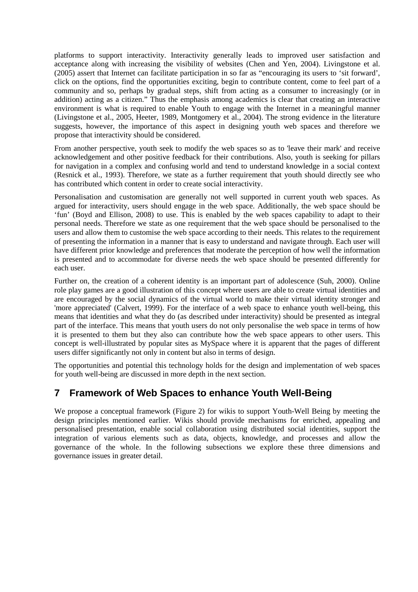platforms to support interactivity. Interactivity generally leads to improved user satisfaction and acceptance along with increasing the visibility of websites [\(Chen and Yen, 2004\)](#page-15-21). Livingstone et al. [\(2005\)](#page-17-23) assert that Internet can facilitate participation in so far as "encouraging its users to 'sit forward', click on the options, find the opportunities exciting, begin to contribute content, come to feel part of a community and so, perhaps by gradual steps, shift from acting as a consumer to increasingly (or in addition) acting as a citizen." Thus the emphasis among academics is clear that creating an interactive environment is what is required to enable Youth to engage with the Internet in a meaningful manner [\(Livingstone et al., 2005,](#page-17-23) [Heeter, 1989,](#page-16-23) [Montgomery et al., 2004\)](#page-17-25). The strong evidence in the literature suggests, however, the importance of this aspect in designing youth web spaces and therefore we propose that interactivity should be considered.

From another perspective, youth seek to modify the web spaces so as to 'leave their mark' and receive acknowledgement and other positive feedback for their contributions. Also, youth is seeking for pillars for navigation in a complex and confusing world and tend to understand knowledge in a social context [\(Resnick et al., 1993\)](#page-17-3). Therefore, we state as a further requirement that youth should directly see who has contributed which content in order to create social interactivity.

Personalisation and customisation are generally not well supported in current youth web spaces. As argued for interactivity, users should engage in the web space. Additionally, the web space should be 'fun' [\(Boyd and Ellison, 2008\)](#page-15-19) to use. This is enabled by the web spaces capability to adapt to their personal needs. Therefore we state as one requirement that the web space should be personalised to the users and allow them to customise the web space according to their needs. This relates to the requirement of presenting the information in a manner that is easy to understand and navigate through. Each user will have different prior knowledge and preferences that moderate the perception of how well the information is presented and to accommodate for diverse needs the web space should be presented differently for each user.

Further on, the creation of a coherent identity is an important part of adolescence [\(Suh, 2000\)](#page-18-9). Online role play games are a good illustration of this concept where users are able to create virtual identities and are encouraged by the social dynamics of the virtual world to make their virtual identity stronger and 'more appreciated' [\(Calvert, 1999\)](#page-15-13). For the interface of a web space to enhance youth well-being, this means that identities and what they do (as described under interactivity) should be presented as integral part of the interface. This means that youth users do not only personalise the web space in terms of how it is presented to them but they also can contribute how the web space appears to other users. This concept is well-illustrated by popular sites as MySpace where it is apparent that the pages of different users differ significantly not only in content but also in terms of design.

The opportunities and potential this technology holds for the design and implementation of web spaces for youth well-being are discussed in more depth in the next section.

### **7 Framework of Web Spaces to enhance Youth Well-Being**

We propose a conceptual framework (Figure 2) for wikis to support Youth-Well Being by meeting the design principles mentioned earlier. Wikis should provide mechanisms for enriched, appealing and personalised presentation, enable social collaboration using distributed social identities, support the integration of various elements such as data, objects, knowledge, and processes and allow the governance of the whole. In the following subsections we explore these three dimensions and governance issues in greater detail.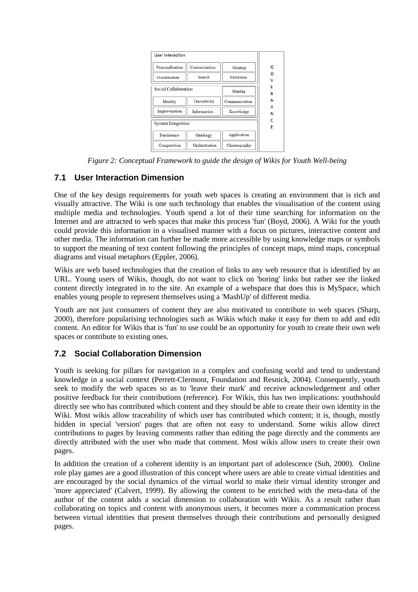

*Figure 2: Conceptual Framework to guide the design of Wikis for Youth Well-being*

#### **7.1 User Interaction Dimension**

One of the key design requirements for youth web spaces is creating an environment that is rich and visually attractive. The Wiki is one such technology that enables the visualisation of the content using multiple media and technologies. Youth spend a lot of their time searching for information on the Internet and are attracted to web spaces that make this process 'fun' (Boyd, 2006). A Wiki for the youth could provide this information in a visualised manner with a focus on pictures, interactive content and other media. The information can further be made more accessible by using knowledge maps or symbols to support the meaning of text content following the principles of concept maps, mind maps, conceptual diagrams and visual metaphors [\(Eppler, 2006\)](#page-15-22).

Wikis are web based technologies that the creation of links to any web resource that is identified by an URL. Young users of Wikis, though, do not want to click on 'boring' links but rather see the linked content directly integrated in to the site. An example of a webspace that does this is MySpace, which enables young people to represent themselves using a 'MashUp' of different media.

Youth are not just consumers of content they are also motivated to contribute to web spaces (Sharp, [2000\)](#page-17-11), therefore popularising technologies such as Wikis which make it easy for them to add and edit content. An editor for Wikis that is 'fun' to use could be an opportunity for youth to create their own web spaces or contribute to existing ones.

#### **7.2 Social Collaboration Dimension**

Youth is seeking for pillars for navigation in a complex and confusing world and tend to understand knowledge in a social context (Perrett-Clermont, Foundation and Resnick, 2004). Consequently, youth seek to modify the web spaces so as to 'leave their mark' and receive acknowledgement and other positive feedback for their contributions (reference). For Wikis, this has two implications: youthshould directly see who has contributed which content and they should be able to create their own identity in the Wiki. Most wikis allow traceability of which user has contributed which content; it is, though, mostly hidden in special 'version' pages that are often not easy to understand. Some wikis allow direct contributions to pages by leaving comments rather than editing the page directly and the comments are directly attributed with the user who made that comment. Most wikis allow users to create their own pages.

In addition the creation of a coherent identity is an important part of adolescence [\(Suh, 2000\)](#page-18-9). Online role play games are a good illustration of this concept where users are able to create virtual identities and are encouraged by the social dynamics of the virtual world to make their virtual identity stronger and 'more appreciated' [\(Calvert, 1999\)](#page-15-13). By allowing the content to be enriched with the meta-data of the author of the content adds a social dimension to collaboration with Wikis. As a result rather than collaborating on topics and content with anonymous users, it becomes more a communication process between virtual identities that present themselves through their contributions and personally designed pages.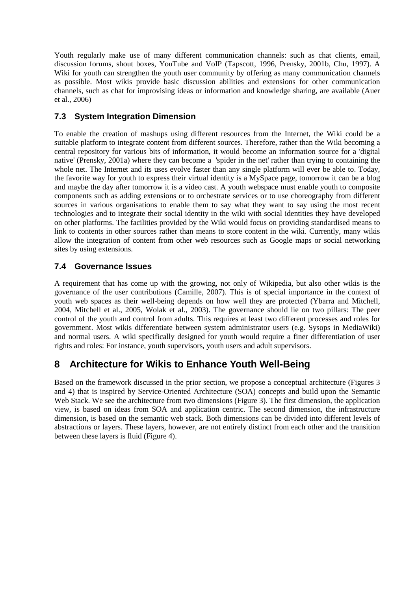Youth regularly make use of many different communication channels: such as chat clients, email, discussion forums, shout boxes, YouTube and VoIP [\(Tapscott, 1996,](#page-18-2) [Prensky, 2001b,](#page-17-9) [Chu, 1997\)](#page-15-23). A Wiki for youth can strengthen the youth user community by offering as many communication channels as possible. Most wikis provide basic discussion abilities and extensions for other communication channels, such as chat for improvising ideas or information and knowledge sharing, are available [\(Auer](http://www.citeulike.org/user/mxro/article/1447656)  [et al., 2006\)](http://www.citeulike.org/user/mxro/article/1447656)

#### **7.3 System Integration Dimension**

To enable the creation of mashups using different resources from the Internet, the Wiki could be a suitable platform to integrate content from different sources. Therefore, rather than the Wiki becoming a central repository for various bits of information, it would become an information source for a 'digital native' [\(Prensky, 2001a\)](#page-17-7) where they can become a 'spider in the net' rather than trying to containing the whole net. The Internet and its uses evolve faster than any single platform will ever be able to. Today, the favorite way for youth to express their virtual identity is a MySpace page, tomorrow it can be a blog and maybe the day after tomorrow it is a video cast. A youth webspace must enable youth to composite components such as adding extensions or to orchestrate services or to use choreography from different sources in various organisations to enable them to say what they want to say using the most recent technologies and to integrate their social identity in the wiki with social identities they have developed on other platforms. The facilities provided by the Wiki would focus on providing standardised means to link to contents in other sources rather than means to store content in the wiki. Currently, many wikis allow the integration of content from other web resources such as Google maps or social networking sites by using extensions.

#### **7.4 Governance Issues**

A requirement that has come up with the growing, not only of Wikipedia, but also other wikis is the governance of the user contributions [\(Camille, 2007\)](#page-15-24). This is of special importance in the context of youth web spaces as their well-being depends on how well they are protected [\(Ybarra and Mitchell,](#page-18-10)  [2004,](#page-18-10) [Mitchell et al., 2005,](#page-17-26) [Wolak et al., 2003\)](#page-18-11). The governance should lie on two pillars: The peer control of the youth and control from adults. This requires at least two different processes and roles for government. Most wikis differentiate between system administrator users (e.g. Sysops in MediaWiki) and normal users. A wiki specifically designed for youth would require a finer differentiation of user rights and roles: For instance, youth supervisors, youth users and adult supervisors.

## **8 Architecture for Wikis to Enhance Youth Well-Being**

Based on the framework discussed in the prior section, we propose a conceptual architecture (Figures 3 and 4) that is inspired by Service-Oriented Architecture (SOA) concepts and build upon the Semantic Web Stack. We see the architecture from two dimensions (Figure 3). The first dimension, the application view, is based on ideas from SOA and application centric. The second dimension, the infrastructure dimension, is based on the semantic web stack. Both dimensions can be divided into different levels of abstractions or layers. These layers, however, are not entirely distinct from each other and the transition between these layers is fluid (Figure 4).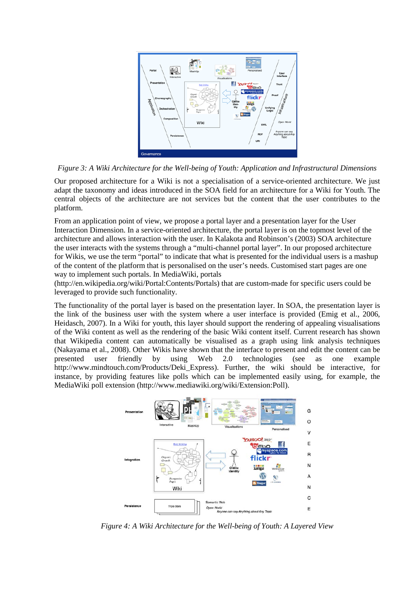

*Figure 3: A Wiki Architecture for the Well-being of Youth: Application and Infrastructural Dimensions*

Our proposed architecture for a Wiki is not a specialisation of a service-oriented architecture. We just adapt the taxonomy and ideas introduced in the SOA field for an architecture for a Wiki for Youth. The central objects of the architecture are not services but the content that the user contributes to the platform.

From an application point of view, we propose a portal layer and a presentation layer for the User Interaction Dimension. In a service-oriented architecture, the portal layer is on the topmost level of the architecture and allows interaction with the user. In Kalakota and Robinson's [\(2003\)](#page-16-26) SOA architecture the user interacts with the systems through a "multi-channel portal layer". In our proposed architecture for Wikis, we use the term "portal" to indicate that what is presented for the individual users is a mashup of the content of the platform that is personalised on the user's needs. Customised start pages are one way to implement such portals. In MediaWiki, portals

[\(http://en.wikipedia.org/wiki/Portal:Contents/Portals\)](http://en.wikipedia.org/wiki/Portal:Contents/Portals) that are custom-made for specific users could be leveraged to provide such functionality.

The functionality of the portal layer is based on the presentation layer. In SOA, the presentation layer is the link of the business user with the system where a user interface is provided [\(Emig et al., 2006,](#page-15-25) [Heidasch, 2007\)](#page-16-27). In a Wiki for youth, this layer should support the rendering of appealing visualisations of the Wiki content as well as the rendering of the basic Wiki content itself. Current research has shown that Wikipedia content can automatically be visualised as a graph using link analysis techniques [\(Nakayama et al., 2008\)](#page-17-27). Other Wikis have shown that the interface to present and edit the content can be presented user friendly by using Web 2.0 technologies (see as one example [http://www.mindtouch.com/Products/Deki\\_Express\)](http://www.mindtouch.com/Products/Deki_Express). Further, the wiki should be interactive, for instance, by providing features like polls which can be implemented easily using, for example, the MediaWiki poll extension [\(http://www.mediawiki.org/wiki/Extension:Poll\)](http://www.mediawiki.org/wiki/Extension:Poll).



*Figure 4: A Wiki Architecture for the Well-being of Youth: A Layered View*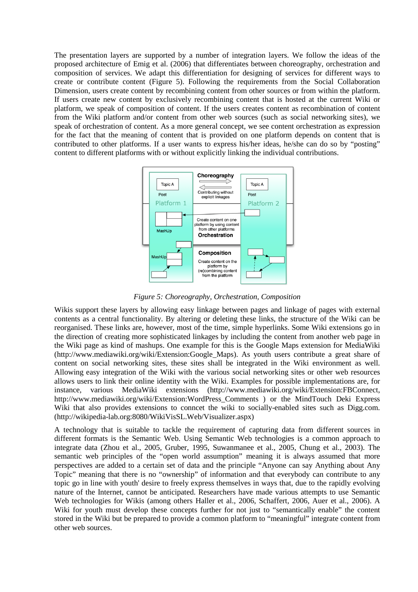The presentation layers are supported by a number of integration layers. We follow the ideas of the proposed architecture of Emig et al. [\(2006\)](#page-15-25) that differentiates between choreography, orchestration and composition of services. We adapt this differentiation for designing of services for different ways to create or contribute content (Figure 5). Following the requirements from the Social Collaboration Dimension, users create content by recombining content from other sources or from within the platform. If users create new content by exclusively recombining content that is hosted at the current Wiki or platform, we speak of composition of content. If the users creates content as recombination of content from the Wiki platform and/or content from other web sources (such as social networking sites), we speak of orchestration of content. As a more general concept, we see content orchestration as expression for the fact that the meaning of content that is provided on one platform depends on content that is contributed to other platforms. If a user wants to express his/her ideas, he/she can do so by "posting" content to different platforms with or without explicitly linking the individual contributions.



*Figure 5: Choreography, Orchestration, Composition*

Wikis support these layers by allowing easy linkage between pages and linkage of pages with external contents as a central functionality. By altering or deleting these links, the structure of the Wiki can be reorganised. These links are, however, most of the time, simple hyperlinks. Some Wiki extensions go in the direction of creating more sophisticated linkages by including the content from another web page in the Wiki page as kind of mashups. One example for this is the Google Maps extension for MediaWiki [\(http://www.mediawiki.org/wiki/Extension:Google\\_Maps\)](http://www.mediawiki.org/wiki/Extension:Google_Maps). As youth users contribute a great share of content on social networking sites, these sites shall be integrated in the Wiki environment as well. Allowing easy integration of the Wiki with the various social networking sites or other web resources allows users to link their online identity with the Wiki. Examples for possible implementations are, for instance, various MediaWiki extensions [\(http://www.mediawiki.org/wiki/Extension:FBConnect,](http://www.mediawiki.org/wiki/Extension:FBConnect) [http://www.mediawiki.org/wiki/Extension:WordPress\\_Comments](http://www.mediawiki.org/wiki/Extension:WordPress_Comments) ) or the MindTouch Deki Express Wiki that also provides extensions to conncet the wiki to socially-enabled sites such as Digg.com. [\(http://wikipedia-lab.org:8080/WikiVisSL.Web/Visualizer.aspx\)](http://wikipedia-lab.org:8080/WikiVisSL.Web/Visualizer.aspx)

A technology that is suitable to tackle the requirement of capturing data from different sources in different formats is the Semantic Web. Using Semantic Web technologies is a common approach to integrate data [\(Zhou et al., 2005,](#page-18-12) [Gruber, 1995,](#page-15-26) [Suwanmanee et al., 2005,](#page-18-13) [Chung et al., 2003\)](#page-15-27). The semantic web principles of the "open world assumption" meaning it is always assumed that more perspectives are added to a certain set of data and the principle "Anyone can say Anything about Any Topic" meaning that there is no "ownership" of information and that everybody can contribute to any topic go in line with youth' desire to freely express themselves in ways that, due to the rapidly evolving nature of the Internet, cannot be anticipated. Researchers have made various attempts to use Semantic Web technologies for Wikis (among others [Haller et al., 2006,](#page-16-28) [Schaffert, 2006,](#page-17-28) [Auer et al., 2006\)](#page-15-28). A Wiki for youth must develop these concepts further for not just to "semantically enable" the content stored in the Wiki but be prepared to provide a common platform to "meaningful" integrate content from other web sources.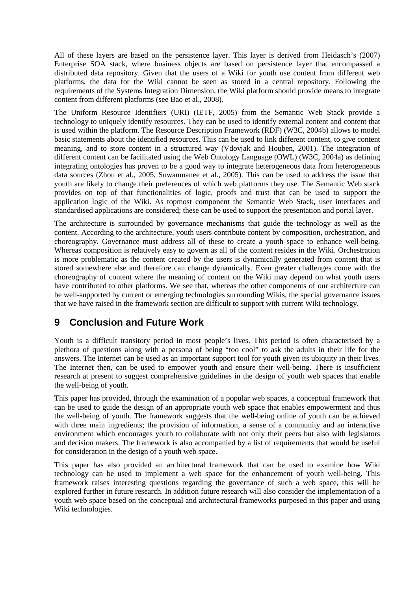All of these layers are based on the persistence layer. This layer is derived from Heidasch's [\(2007\)](http://www.citeulike.org/user/mxro/article/4220755) Enterprise SOA stack, where business objects are based on persistence layer that encompassed a distributed data repository. Given that the users of a Wiki for youth use content from different web platforms, the data for the Wiki cannot be seen as stored in a central repository. Following the requirements of the Systems Integration Dimension, the Wiki platform should provide means to integrate content from different platforms [\(see Bao et al., 2008\)](#page-15-29).

The Uniform Resource Identifiers (URI) [\(IETF, 2005\)](#page-16-29) from the Semantic Web Stack provide a technology to uniquely identify resources. They can be used to identify external content and content that is used within the platform. The Resource Description Framework (RDF) [\(W3C, 2004b\)](#page-18-14) allows to model basic statements about the identified resources. This can be used to link different content, to give content meaning, and to store content in a structured way [\(Vdovjak and Houben, 2001\)](#page-18-15). The integration of different content can be facilitated using the Web Ontology Language (OWL) [\(W3C, 2004a\)](#page-18-16) as defining integrating ontologies has proven to be a good way to integrate heterogeneous data from heterogeneous data sources [\(Zhou et al., 2005,](#page-18-12) [Suwanmanee et al., 2005\)](#page-18-13). This can be used to address the issue that youth are likely to change their preferences of which web platforms they use. The Semantic Web stack provides on top of that functionalities of logic, proofs and trust that can be used to support the application logic of the Wiki. As topmost component the Semantic Web Stack, user interfaces and standardised applications are considered; these can be used to support the presentation and portal layer.

The architecture is surrounded by governance mechanisms that guide the technology as well as the content. According to the architecture, youth users contribute content by composition, orchestration, and choreography. Governance must address all of these to create a youth space to enhance well-being. Whereas composition is relatively easy to govern as all of the content resides in the Wiki. Orchestration is more problematic as the content created by the users is dynamically generated from content that is stored somewhere else and therefore can change dynamically. Even greater challenges come with the choreography of content where the meaning of content on the Wiki may depend on what youth users have contributed to other platforms. We see that, whereas the other components of our architecture can be well-supported by current or emerging technologies surrounding Wikis, the special governance issues that we have raised in the framework section are difficult to support with current Wiki technology.

## **9 Conclusion and Future Work**

Youth is a difficult transitory period in most people's lives. This period is often characterised by a plethora of questions along with a persona of being "too cool" to ask the adults in their life for the answers. The Internet can be used as an important support tool for youth given its ubiquity in their lives. The Internet then, can be used to empower youth and ensure their well-being. There is insufficient research at present to suggest comprehensive guidelines in the design of youth web spaces that enable the well-being of youth.

This paper has provided, through the examination of a popular web spaces, a conceptual framework that can be used to guide the design of an appropriate youth web space that enables empowerment and thus the well-being of youth. The framework suggests that the well-being online of youth can be achieved with three main ingredients; the provision of information, a sense of a community and an interactive environment which encourages youth to collaborate with not only their peers but also with legislators and decision makers. The framework is also accompanied by a list of requirements that would be useful for consideration in the design of a youth web space.

This paper has also provided an architectural framework that can be used to examine how Wiki technology can be used to implement a web space for the enhancement of youth well-being. This framework raises interesting questions regarding the governance of such a web space, this will be explored further in future research. In addition future research will also consider the implementation of a youth web space based on the conceptual and architectural frameworks purposed in this paper and using Wiki technologies.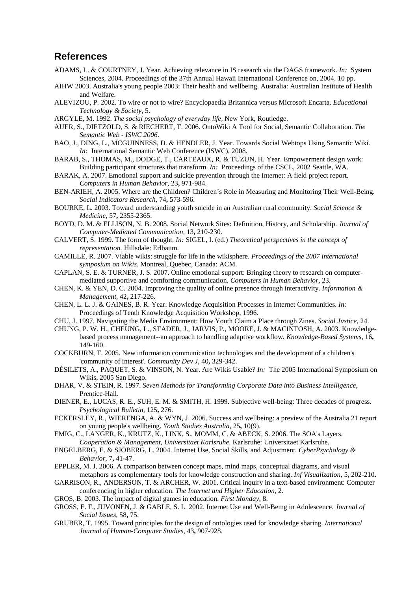#### **References**

- <span id="page-15-18"></span>ADAMS, L. & COURTNEY, J. Year. Achieving relevance in IS research via the DAGS framework. *In:* System Sciences, 2004. Proceedings of the 37th Annual Hawaii International Conference on, 2004. 10 pp.
- <span id="page-15-0"></span>AIHW 2003. Australia's young people 2003: Their health and wellbeing. Australia: Australian Institute of Health and Welfare.
- <span id="page-15-14"></span>ALEVIZOU, P. 2002. To wire or not to wire? Encyclopaedia Britannica versus Microsoft Encarta. *Educational Technology & Society,* 5.
- <span id="page-15-5"></span>ARGYLE, M. 1992. *The social psychology of everyday life,* New York, Routledge.
- <span id="page-15-28"></span>AUER, S., DIETZOLD, S. & RIECHERT, T. 2006. OntoWiki A Tool for Social, Semantic Collaboration. *The Semantic Web - ISWC 2006.*
- <span id="page-15-29"></span>BAO, J., DING, L., MCGUINNESS, D. & HENDLER, J. Year. Towards Social Webtops Using Semantic Wiki. *In:* International Semantic Web Conference (ISWC), 2008.
- <span id="page-15-15"></span>BARAB, S., THOMAS, M., DODGE, T., CARTEAUX, R. & TUZUN, H. Year. Empowerment design work: Building participant structures that transform. *In:* Proceedings of the CSCL, 2002 Seattle, WA.
- <span id="page-15-9"></span>BARAK, A. 2007. Emotional support and suicide prevention through the Internet: A field project report. *Computers in Human Behavior,* 23**,** 971-984.
- <span id="page-15-4"></span>BEN-ARIEH, A. 2005. Where are the Children? Children's Role in Measuring and Monitoring Their Well-Being. *Social Indicators Research,* 74**,** 573-596.
- <span id="page-15-1"></span>BOURKE, L. 2003. Toward understanding youth suicide in an Australian rural community. *Social Science & Medicine,* 57**,** 2355-2365.
- <span id="page-15-19"></span>BOYD, D. M. & ELLISON, N. B. 2008. Social Network Sites: Definition, History, and Scholarship. *Journal of Computer-Mediated Communication,* 13**,** 210-230.
- <span id="page-15-13"></span>CALVERT, S. 1999. The form of thought. *In:* SIGEL, I. (ed.) *Theoretical perspectives in the concept of representation.* Hillsdale: Erlbaum.
- <span id="page-15-24"></span>CAMILLE, R. 2007. Viable wikis: struggle for life in the wikisphere. *Proceedings of the 2007 international symposium on Wikis.* Montreal, Quebec, Canada: ACM.
- <span id="page-15-6"></span>CAPLAN, S. E. & TURNER, J. S. 2007. Online emotional support: Bringing theory to research on computermediated supportive and comforting communication. *Computers in Human Behavior,* 23.
- <span id="page-15-21"></span>CHEN, K. & YEN, D. C. 2004. Improving the quality of online presence through interactivity. *Information & Management,* 42**,** 217-226.
- <span id="page-15-12"></span>CHEN, L. L. J. & GAINES, B. R. Year. Knowledge Acquisition Processes in Internet Communities. *In:*  Proceedings of Tenth Knowledge Acquisition Workshop, 1996.
- <span id="page-15-23"></span>CHU, J. 1997. Navigating the Media Environment: How Youth Claim a Place through Zines. *Social Justice,* 24.
- <span id="page-15-27"></span>CHUNG, P. W. H., CHEUNG, L., STADER, J., JARVIS, P., MOORE, J. & MACINTOSH, A. 2003. Knowledgebased process management--an approach to handling adaptive workflow. *Knowledge-Based Systems,* 16**,** 149-160.
- <span id="page-15-10"></span>COCKBURN, T. 2005. New information communication technologies and the development of a children's 'community of interest'. *Community Dev J,* 40**,** 329-342.
- <span id="page-15-17"></span>DÉSILETS, A., PAQUET, S. & VINSON, N. Year. Are Wikis Usable? *In:* The 2005 International Symposium on Wikis, 2005 San Diego.
- <span id="page-15-20"></span>DHAR, V. & STEIN, R. 1997. *Seven Methods for Transforming Corporate Data into Business Intelligence*, Prentice-Hall.
- <span id="page-15-3"></span>DIENER, E., LUCAS, R. E., SUH, E. M. & SMITH, H. 1999. Subjective well-being: Three decades of progress. *Psychological Bulletin,* 125**,** 276.
- <span id="page-15-2"></span>ECKERSLEY, R., WIERENGA, A. & WYN, J. 2006. Success and wellbeing: a preview of the Australia 21 report on young people's wellbeing. *Youth Studies Australia,* 25**,** 10(9).
- <span id="page-15-25"></span>EMIG, C., LANGER, K., KRUTZ, K., LINK, S., MOMM, C. & ABECK, S. 2006. The SOA's Layers. *Cooperation & Management, Universitaet Karlsruhe.* Karlsruhe: Universitaet Karlsruhe.
- <span id="page-15-8"></span>ENGELBERG, E. & SJÖBERG, L. 2004. Internet Use, Social Skills, and Adjustment. *CyberPsychology & Behavior,* 7**,** 41-47.
- <span id="page-15-22"></span>EPPLER, M. J. 2006. A comparison between concept maps, mind maps, conceptual diagrams, and visual metaphors as complementary tools for knowledge construction and sharing. *Inf Visualization,* 5**,** 202-210.
- <span id="page-15-16"></span>GARRISON, R., ANDERSON, T. & ARCHER, W. 2001. Critical inquiry in a text-based environment: Computer conferencing in higher education. *The Internet and Higher Education,* 2.
- <span id="page-15-7"></span>GROS, B. 2003. The impact of digital games in education. *First Monday,* 8.
- <span id="page-15-11"></span>GROSS, E. F., JUVONEN, J. & GABLE, S. L. 2002. Internet Use and Well-Being in Adolescence. *Journal of Social Issues,* 58**,** 75.
- <span id="page-15-26"></span>GRUBER, T. 1995. Toward principles for the design of ontologies used for knowledge sharing. *International Journal of Human-Computer Studies,* 43**,** 907-928.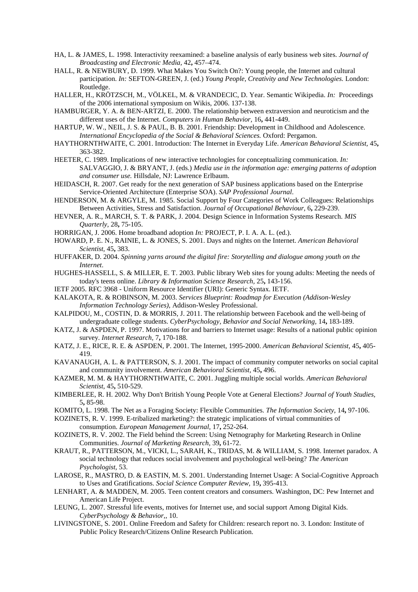- <span id="page-16-24"></span>HA, L. & JAMES, L. 1998. Interactivity reexamined: a baseline analysis of early business web sites. *Journal of Broadcasting and Electronic Media,* 42**,** 457–474.
- <span id="page-16-17"></span>HALL, R. & NEWBURY, D. 1999. What Makes You Switch On?: Young people, the Internet and cultural participation. *In:* SEFTON-GREEN, J. (ed.) *Young People, Creativity and New Technologies.* London: Routledge.
- <span id="page-16-28"></span>HALLER, H., KRÖTZSCH, M., VÖLKEL, M. & VRANDECIC, D. Year. Semantic Wikipedia. *In:* Proceedings of the 2006 international symposium on Wikis, 2006. 137-138.
- <span id="page-16-12"></span>HAMBURGER, Y. A. & BEN-ARTZI, E. 2000. The relationship between extraversion and neuroticism and the different uses of the Internet. *Computers in Human Behavior,* 16**,** 441-449.
- <span id="page-16-1"></span>HARTUP, W. W., NEIL, J. S. & PAUL, B. B. 2001. Friendship: Development in Childhood and Adolescence. *International Encyclopedia of the Social & Behavioral Sciences.* Oxford: Pergamon.
- <span id="page-16-4"></span>HAYTHORNTHWAITE, C. 2001. Introduction: The Internet in Everyday Life. *American Behavioral Scientist,* 45**,** 363-382.
- <span id="page-16-23"></span>HEETER, C. 1989. Implications of new interactive technologies for conceptualizing communication. *In:* SALVAGGIO, J. & BRYANT, J. (eds.) *Media use in the information age: emerging patterns of adoption and consumer use.* Hillsdale, NJ: Lawrence Erlbaum.
- <span id="page-16-27"></span>HEIDASCH, R. 2007. Get ready for the next generation of SAP business applications based on the Enterprise Service-Oriented Architecture (Enterprise SOA). *SAP Professional Journal*.
- <span id="page-16-0"></span>HENDERSON, M. & ARGYLE, M. 1985. Social Support by Four Categories of Work Colleagues: Relationships Between Activities, Stress and Satisfaction. *Journal of Occupational Behaviour,* 6**,** 229-239.
- <span id="page-16-22"></span>HEVNER, A. R., MARCH, S. T. & PARK, J. 2004. Design Science in Information Systems Research. *MIS Quarterly,* 28**,** 75-105.
- <span id="page-16-19"></span>HORRIGAN, J. 2006. Home broadband adoption *In:* PROJECT, P. I. A. A. L. (ed.).
- <span id="page-16-6"></span>HOWARD, P. E. N., RAINIE, L. & JONES, S. 2001. Days and nights on the Internet. *American Behavioral Scientist,* 45**,** 383.
- <span id="page-16-18"></span>HUFFAKER, D. 2004. *Spinning yarns around the digital fire: Storytelling and dialogue among youth on the Internet*.
- <span id="page-16-25"></span>HUGHES-HASSELL, S. & MILLER, E. T. 2003. Public library Web sites for young adults: Meeting the needs of today's teens online. *Library & Information Science Research,* 25**,** 143-156.
- <span id="page-16-29"></span>IETF 2005. RFC 3968 - Uniform Resource Identifier (URI): Generic Syntax. IETF.
- <span id="page-16-26"></span>KALAKOTA, R. & ROBINSON, M. 2003. *Services Blueprint: Roadmap for Execution (Addison-Wesley Information Technology Series)*, Addison-Wesley Professional.
- <span id="page-16-13"></span>KALPIDOU, M., COSTIN, D. & MORRIS, J. 2011. The relationship between Facebook and the well-being of undergraduate college students. *CyberPsychology, Behavior and Social Networking,* 14**,** 183-189.
- <span id="page-16-2"></span>KATZ, J. & ASPDEN, P. 1997. Motivations for and barriers to Internet usage: Results of a national public opinion survey. *Internet Research,* 7**,** 170-188.
- <span id="page-16-3"></span>KATZ, J. E., RICE, R. E. & ASPDEN, P. 2001. The Internet, 1995-2000. *American Behavioral Scientist,* 45**,** 405- 419.
- <span id="page-16-5"></span>KAVANAUGH, A. L. & PATTERSON, S. J. 2001. The impact of community computer networks on social capital and community involvement. *American Behavioral Scientist,* 45**,** 496.
- <span id="page-16-7"></span>KAZMER, M. M. & HAYTHORNTHWAITE, C. 2001. Juggling multiple social worlds. *American Behavioral Scientist,* 45**,** 510-529.
- <span id="page-16-16"></span>KIMBERLEE, R. H. 2002. Why Don't British Young People Vote at General Elections? *Journal of Youth Studies,* 5**,** 85-98.
- <span id="page-16-20"></span>KOMITO, L. 1998. The Net as a Foraging Society: Flexible Communities. *The Information Society,* 14**,** 97-106.
- <span id="page-16-14"></span>KOZINETS, R. V. 1999. E-tribalized marketing?: the strategic implications of virtual communities of consumption. *European Management Journal,* 17**,** 252-264.
- <span id="page-16-21"></span>KOZINETS, R. V. 2002. The Field behind the Screen: Using Netnography for Marketing Research in Online Communities. *Journal of Marketing Research,* 39**,** 61-72.
- <span id="page-16-11"></span>KRAUT, R., PATTERSON, M., VICKI, L., SARAH, K., TRIDAS, M. & WILLIAM, S. 1998. Internet paradox. A social technology that reduces social involvement and psychological well-being? *The American Psychologist,* 53.
- <span id="page-16-10"></span>LAROSE, R., MASTRO, D. & EASTIN, M. S. 2001. Understanding Internet Usage: A Social-Cognitive Approach to Uses and Gratifications. *Social Science Computer Review,* 19**,** 395-413.
- <span id="page-16-8"></span>LENHART, A. & MADDEN, M. 2005. Teen content creators and consumers. Washington, DC: Pew Internet and American Life Project.
- <span id="page-16-9"></span>LEUNG, L. 2007. Stressful life events, motives for Internet use, and social support Among Digital Kids. *CyberPsychology & Behavior,,* 10.
- <span id="page-16-15"></span>LIVINGSTONE, S. 2001. Online Freedom and Safety for Children: research report no. 3. London: Institute of Public Policy Research/Citizens Online Research Publication.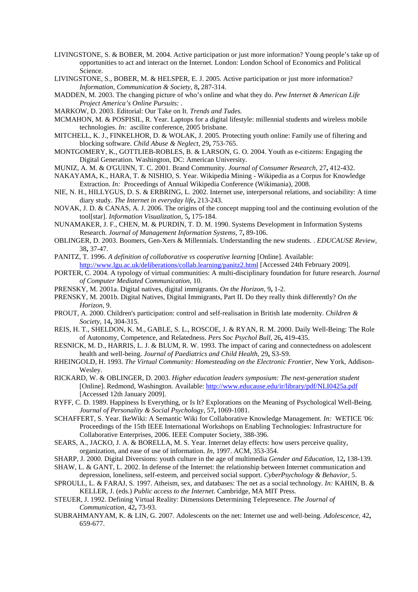- <span id="page-17-14"></span>LIVINGSTONE, S. & BOBER, M. 2004. Active participation or just more information? Young people's take up of opportunities to act and interact on the Internet. London: London School of Economics and Political Science.
- <span id="page-17-23"></span>LIVINGSTONE, S., BOBER, M. & HELSPER, E. J. 2005. Active participation or just more information? *Information, Communication & Society,* 8**,** 287-314.
- MADDEN, M. 2003. The changing picture of who's online and what they do. *Pew Internet & American Life Project America's Online Pursuits: .*
- <span id="page-17-22"></span>MARKOW, D. 2003. Editorial: Our Take on It. *Trends and Tudes.*
- <span id="page-17-8"></span>MCMAHON, M. & POSPISIL, R. Year. Laptops for a digital lifestyle: millennial students and wireless mobile technologies. *In:* ascilite conference, 2005 brisbane.
- <span id="page-17-26"></span>MITCHELL, K. J., FINKELHOR, D. & WOLAK, J. 2005. Protecting youth online: Family use of filtering and blocking software. *Child Abuse & Neglect,* 29**,** 753-765.
- <span id="page-17-25"></span>MONTGOMERY, K., GOTTLIEB-ROBLES, B. & LARSON, G. O. 2004. Youth as e-citizens: Engaging the Digital Generation. Washington, DC: American University.
- <span id="page-17-18"></span>MUNIZ, A. M. & O'GUINN, T. C. 2001. Brand Community. *Journal of Consumer Research,* 27**,** 412-432.
- <span id="page-17-27"></span>NAKAYAMA, K., HARA, T. & NISHIO, S. Year. Wikipedia Mining - Wikipedia as a Corpus for Knowledge Extraction. *In:* Proceedings of Annual Wikipedia Conference (Wikimania), 2008.
- <span id="page-17-4"></span>NIE, N. H., HILLYGUS, D. S. & ERBRING, L. 2002. Internet use, interpersonal relations, and sociability: A time diary study. *The Internet in everyday life***,** 213-243.
- <span id="page-17-20"></span>NOVAK, J. D. & CANAS, A. J. 2006. The origins of the concept mapping tool and the continuing evolution of the tool[star]. *Information Visualization,* 5**,** 175-184.
- <span id="page-17-21"></span>NUNAMAKER, J. F., CHEN, M. & PURDIN, T. D. M. 1990. Systems Development in Information Systems Research. *Journal of Management Information Systems,* 7**,** 89-106.
- <span id="page-17-10"></span>OBLINGER, D. 2003. Boomers, Gen-Xers & Millennials. Understanding the new students. . *EDUCAUSE Review,* 38**,** 37-47.
- <span id="page-17-19"></span>PANITZ, T. 1996. A definition of collaborative vs cooperative learning [Online]. Available: <http://www.lgu.ac.uk/deliberations/collab.learning/panitz2.html> [Accessed 24th February 2009].
- <span id="page-17-16"></span>PORTER, C. 2004. A typology of virtual communities: A multi-disciplinary foundation for future research. *Journal of Computer Mediated Communication,* 10.
- <span id="page-17-7"></span>PRENSKY, M. 2001a. Digital natives, digital immigrants. *On the Horizon,* 9**,** 1-2.
- <span id="page-17-9"></span>PRENSKY, M. 2001b. Digital Natives, Digital Immigrants, Part II. Do they really think differently? *On the Horizon,* 9.
- <span id="page-17-15"></span>PROUT, A. 2000. Children's participation: control and self-realisation in British late modernity. *Children & Society,* 14**,** 304-315.
- <span id="page-17-2"></span>REIS, H. T., SHELDON, K. M., GABLE, S. L., ROSCOE, J. & RYAN, R. M. 2000. Daily Well-Being: The Role of Autonomy, Competence, and Relatedness. *Pers Soc Psychol Bull,* 26**,** 419-435.
- <span id="page-17-3"></span>RESNICK, M. D., HARRIS, L. J. & BLUM, R. W. 1993. The impact of caring and connectedness on adolescent health and well-being. *Journal of Paediatrics and Child Health,* 29**,** S3-S9.
- <span id="page-17-17"></span>RHEINGOLD, H. 1993. *The Virtual Community: Homesteading on the Electronic Frontier*, New York, Addison-Wesley.
- <span id="page-17-6"></span>RICKARD, W. & OBLINGER, D. 2003. *Higher education leaders symposium: The next-generation student*  [Online]. Redmond, Washington. Available:<http://www.educause.edu/ir/library/pdf/NLI0425a.pdf> [Accessed 12th January 2009].
- <span id="page-17-0"></span>RYFF, C. D. 1989. Happiness Is Everything, or Is It? Explorations on the Meaning of Psychological Well-Being. *Journal of Personality & Social Psychology,* 57**,** 1069-1081.
- <span id="page-17-28"></span>SCHAFFERT, S. Year. IkeWiki: A Semantic Wiki for Collaborative Knowledge Management. *In:* WETICE '06: Proceedings of the 15th IEEE International Workshops on Enabling Technologies: Infrastructure for Collaborative Enterprises, 2006. IEEE Computer Society, 388-396.
- <span id="page-17-5"></span>SEARS, A., JACKO, J. A. & BORELLA, M. S. Year. Internet delay effects: how users perceive quality, organization, and ease of use of information. *In*, 1997. ACM, 353-354.
- <span id="page-17-11"></span>SHARP, J. 2000. Digital Diversions: youth culture in the age of multimedia *Gender and Education,* 12**,** 138-139.
- <span id="page-17-13"></span>SHAW, L. & GANT, L. 2002. In defense of the Internet: the relationship between Internet communication and depression, loneliness, self-esteem, and perceived social support. *CyberPsychology & Behavior,* 5.
- <span id="page-17-12"></span>SPROULL, L. & FARAJ, S. 1997. Atheism, sex, and databases: The net as a social technology. *In:* KAHIN, B. & KELLER, J. (eds.) *Public access to the Internet.* Cambridge, MA MIT Press.
- <span id="page-17-24"></span>STEUER, J. 1992. Defining Virtual Reality: Dimensions Determining Telepresence. *The Journal of Communication,* 42**,** 73-93.
- <span id="page-17-1"></span>SUBRAHMANYAM, K. & LIN, G. 2007. Adolescents on the net: Internet use and well-being. *Adolescence,* 42**,** 659-677.